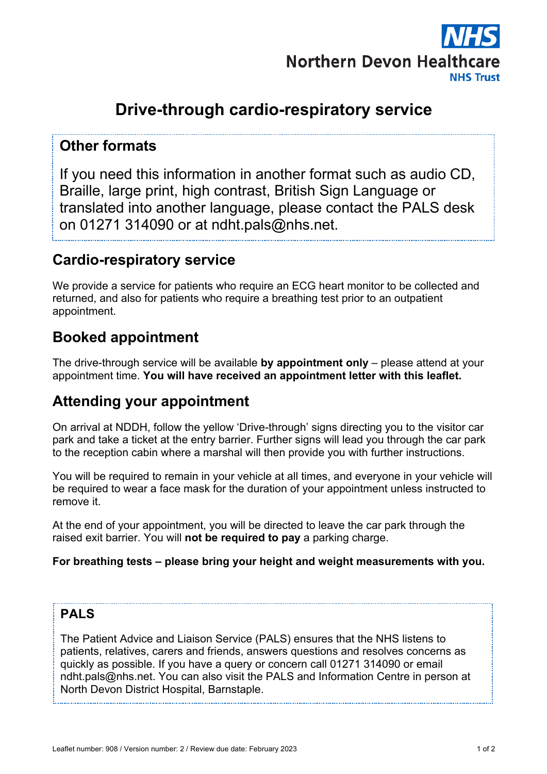

# **Drive-through cardio-respiratory service**

### **Other formats**

If you need this information in another format such as audio CD, Braille, large print, high contrast, British Sign Language or translated into another language, please contact the PALS desk on 01271 314090 or at ndht.pals@nhs.net.

### **Cardio-respiratory service**

We provide a service for patients who require an ECG heart monitor to be collected and returned, and also for patients who require a breathing test prior to an outpatient appointment.

# **Booked appointment**

The drive-through service will be available **by appointment only** – please attend at your appointment time. **You will have received an appointment letter with this leaflet.**

## **Attending your appointment**

On arrival at NDDH, follow the yellow 'Drive-through' signs directing you to the visitor car park and take a ticket at the entry barrier. Further signs will lead you through the car park to the reception cabin where a marshal will then provide you with further instructions.

You will be required to remain in your vehicle at all times, and everyone in your vehicle will be required to wear a face mask for the duration of your appointment unless instructed to remove it.

At the end of your appointment, you will be directed to leave the car park through the raised exit barrier. You will **not be required to pay** a parking charge.

#### **For breathing tests – please bring your height and weight measurements with you.**

### **PALS**

The Patient Advice and Liaison Service (PALS) ensures that the NHS listens to patients, relatives, carers and friends, answers questions and resolves concerns as quickly as possible. If you have a query or concern call 01271 314090 or email ndht.pals@nhs.net. You can also visit the PALS and Information Centre in person at North Devon District Hospital, Barnstaple.